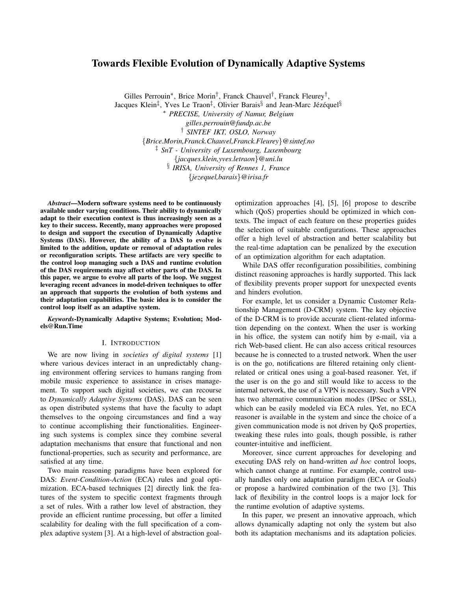# Towards Flexible Evolution of Dynamically Adaptive Systems

Gilles Perrouin<sup>\*</sup>, Brice Morin<sup>†</sup>, Franck Chauvel<sup>†</sup>, Franck Fleurey<sup>†</sup>,

Jacques Klein<sup>‡</sup>, Yves Le Traon<sup>‡</sup>, Olivier Barais<sup>§</sup> and Jean-Marc Jézéquel<sup>§</sup>

<sup>∗</sup> *PRECISE, University of Namur, Belgium*

*gilles.perrouin@fundp.ac.be*

† *SINTEF IKT, OSLO, Norway*

{*Brice.Morin,Franck.Chauvel,Franck.Fleurey*}*@sintef.no*

‡ *SnT - University of Luxembourg, Luxembourg*

{*jacques.klein,yves.letraon*}*@uni.lu*

§ *IRISA, University of Rennes 1, France*

{*jezequel,barais*}*@irisa.fr*

*Abstract*—Modern software systems need to be continuously available under varying conditions. Their ability to dynamically adapt to their execution context is thus increasingly seen as a key to their success. Recently, many approaches were proposed to design and support the execution of Dynamically Adaptive Systems (DAS). However, the ability of a DAS to evolve is limited to the addition, update or removal of adaptation rules or reconfiguration scripts. These artifacts are very specific to the control loop managing such a DAS and runtime evolution of the DAS requirements may affect other parts of the DAS. In this paper, we argue to evolve all parts of the loop. We suggest leveraging recent advances in model-driven techniques to offer an approach that supports the evolution of both systems and their adaptation capabilities. The basic idea is to consider the control loop itself as an adaptive system.

*Keywords*-Dynamically Adaptive Systems; Evolution; Models@Run.Time

### I. INTRODUCTION

We are now living in *societies of digital systems* [1] where various devices interact in an unpredictably changing environment offering services to humans ranging from mobile music experience to assistance in crises management. To support such digital societies, we can recourse to *Dynamically Adaptive Systems* (DAS). DAS can be seen as open distributed systems that have the faculty to adapt themselves to the ongoing circumstances and find a way to continue accomplishing their functionalities. Engineering such systems is complex since they combine several adaptation mechanisms that ensure that functional and non functional-properties, such as security and performance, are satisfied at any time.

Two main reasoning paradigms have been explored for DAS: *Event-Condition-Action* (ECA) rules and goal optimization. ECA-based techniques [2] directly link the features of the system to specific context fragments through a set of rules. With a rather low level of abstraction, they provide an efficient runtime processing, but offer a limited scalability for dealing with the full specification of a complex adaptive system [3]. At a high-level of abstraction goaloptimization approaches [4], [5], [6] propose to describe which (QoS) properties should be optimized in which contexts. The impact of each feature on these properties guides the selection of suitable configurations. These approaches offer a high level of abstraction and better scalability but the real-time adaptation can be penalized by the execution of an optimization algorithm for each adaptation.

While DAS offer reconfiguration possibilities, combining distinct reasoning approaches is hardly supported. This lack of flexibility prevents proper support for unexpected events and hinders evolution.

For example, let us consider a Dynamic Customer Relationship Management (D-CRM) system. The key objective of the D-CRM is to provide accurate client-related information depending on the context. When the user is working in his office, the system can notify him by e-mail, via a rich Web-based client. He can also access critical resources because he is connected to a trusted network. When the user is on the go, notifications are filtered retaining only clientrelated or critical ones using a goal-based reasoner. Yet, if the user is on the go and still would like to access to the internal network, the use of a VPN is necessary. Such a VPN has two alternative communication modes (IPSec or SSL), which can be easily modeled via ECA rules. Yet, no ECA reasoner is available in the system and since the choice of a given communication mode is not driven by QoS properties, tweaking these rules into goals, though possible, is rather counter-intuitive and inefficient.

Moreover, since current approaches for developing and executing DAS rely on hand-written *ad hoc* control loops, which cannot change at runtime. For example, control usually handles only one adaptation paradigm (ECA or Goals) or propose a hardwired combination of the two [3]. This lack of flexibility in the control loops is a major lock for the runtime evolution of adaptive systems.

In this paper, we present an innovative approach, which allows dynamically adapting not only the system but also both its adaptation mechanisms and its adaptation policies.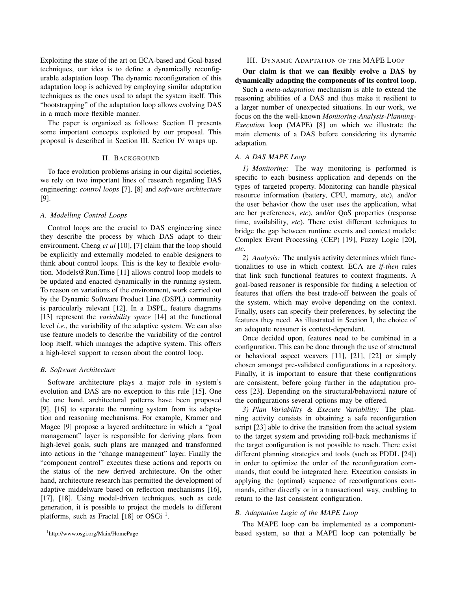Exploiting the state of the art on ECA-based and Goal-based techniques, our idea is to define a dynamically reconfigurable adaptation loop. The dynamic reconfiguration of this adaptation loop is achieved by employing similar adaptation techniques as the ones used to adapt the system itself. This "bootstrapping" of the adaptation loop allows evolving DAS in a much more flexible manner.

The paper is organized as follows: Section II presents some important concepts exploited by our proposal. This proposal is described in Section III. Section IV wraps up.

# II. BACKGROUND

To face evolution problems arising in our digital societies, we rely on two important lines of research regarding DAS engineering: *control loops* [7], [8] and *software architecture* [9].

# *A. Modelling Control Loops*

Control loops are the crucial to DAS engineering since they describe the process by which DAS adapt to their environment. Cheng *et al* [10], [7] claim that the loop should be explicitly and externally modeled to enable designers to think about control loops. This is the key to flexible evolution. Models@Run.Time [11] allows control loop models to be updated and enacted dynamically in the running system. To reason on variations of the environment, work carried out by the Dynamic Software Product Line (DSPL) community is particularly relevant [12]. In a DSPL, feature diagrams [13] represent the *variability space* [14] at the functional level *i.e.*, the variability of the adaptive system. We can also use feature models to describe the variability of the control loop itself, which manages the adaptive system. This offers a high-level support to reason about the control loop.

#### *B. Software Architecture*

Software architecture plays a major role in system's evolution and DAS are no exception to this rule [15]. One the one hand, architectural patterns have been proposed [9], [16] to separate the running system from its adaptation and reasoning mechanisms. For example, Kramer and Magee [9] propose a layered architecture in which a "goal management" layer is responsible for deriving plans from high-level goals, such plans are managed and transformed into actions in the "change management" layer. Finally the "component control" executes these actions and reports on the status of the new derived architecture. On the other hand, architecture research has permitted the development of adaptive middelware based on reflection mechanisms [16], [17], [18]. Using model-driven techniques, such as code generation, it is possible to project the models to different platforms, such as Fractal  $[18]$  or OSGi<sup>1</sup>.

## III. DYNAMIC ADAPTATION OF THE MAPE LOOP

# Our claim is that we can flexibly evolve a DAS by dynamically adapting the components of its control loop.

Such a *meta-adaptation* mechanism is able to extend the reasoning abilities of a DAS and thus make it resilient to a larger number of unexpected situations. In our work, we focus on the the well-known *Monitoring-Analysis-Planning-Execution* loop (MAPE) [8] on which we illustrate the main elements of a DAS before considering its dynamic adaptation.

# *A. A DAS MAPE Loop*

*1) Monitoring:* The way monitoring is performed is specific to each business application and depends on the types of targeted property. Monitoring can handle physical resource information (battery, CPU, memory, etc), and/or the user behavior (how the user uses the application, what are her preferences, *etc*), and/or QoS properties (response time, availability, *etc*). There exist different techniques to bridge the gap between runtime events and context models: Complex Event Processing (CEP) [19], Fuzzy Logic [20], *etc*.

*2) Analysis:* The analysis activity determines which functionalities to use in which context. ECA are *if-then* rules that link such functional features to context fragments. A goal-based reasoner is responsible for finding a selection of features that offers the best trade-off between the goals of the system, which may evolve depending on the context. Finally, users can specify their preferences, by selecting the features they need. As illustrated in Section I, the choice of an adequate reasoner is context-dependent.

Once decided upon, features need to be combined in a configuration. This can be done through the use of structural or behavioral aspect weavers [11], [21], [22] or simply chosen amongst pre-validated configurations in a repository. Finally, it is important to ensure that these configurations are consistent, before going further in the adaptation process [23]. Depending on the structural/behavioral nature of the configurations several options may be offered.

*3) Plan Variability & Execute Variability:* The planning activity consists in obtaining a safe reconfiguration script [23] able to drive the transition from the actual system to the target system and providing roll-back mechanisms if the target configuration is not possible to reach. There exist different planning strategies and tools (such as PDDL [24]) in order to optimize the order of the reconfiguration commands, that could be integrated here. Execution consists in applying the (optimal) sequence of reconfigurations commands, either directly or in a transactional way, enabling to return to the last consistent configuration.

# *B. Adaptation Logic of the MAPE Loop*

The MAPE loop can be implemented as a componentbased system, so that a MAPE loop can potentially be

<sup>1</sup>http://www.osgi.org/Main/HomePage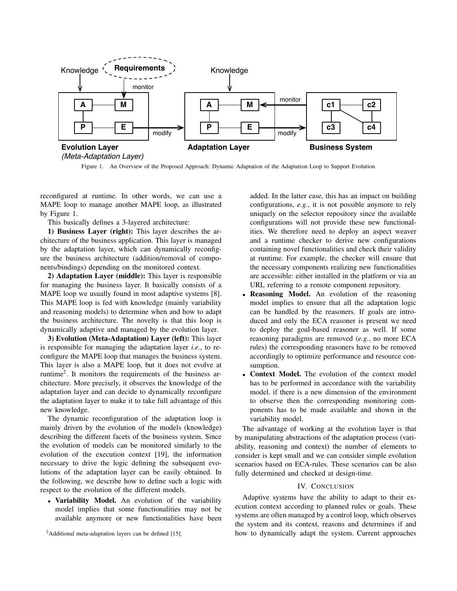

Figure 1. An Overview of the Proposed Approach: Dynamic Adaptation of the Adaptation Loop to Support Evolution

reconfigured at runtime. In other words, we can use a MAPE loop to manage another MAPE loop, as illustrated by Figure 1.

This basically defines a 3-layered architecture:

1) Business Layer (right): This layer describes the architecture of the business application. This layer is managed by the adaptation layer, which can dynamically reconfigure the business architecture (addition/removal of components/bindings) depending on the monitored context.

2) Adaptation Layer (middle): This layer is responsible for managing the business layer. It basically consists of a MAPE loop we usually found in most adaptive systems [8]. This MAPE loop is fed with knowledge (mainly variability and reasoning models) to determine when and how to adapt the business architecture. The novelty is that this loop is dynamically adaptive and managed by the evolution layer.

3) Evolution (Meta-Adaptation) Layer (left): This layer is responsible for managing the adaptation layer *i.e.*, to reconfigure the MAPE loop that manages the business system. This layer is also a MAPE loop, but it does not evolve at runtime<sup>2</sup> . It monitors the requirements of the business architecture. More precisely, it observes the knowledge of the adaptation layer and can decide to dynamically reconfigure the adaptation layer to make it to take full advantage of this new knowledge.

The dynamic reconfiguration of the adaptation loop is mainly driven by the evolution of the models (knowledge) describing the different facets of the business system. Since the evolution of models can be monitored similarly to the evolution of the execution context [19], the information necessary to drive the logic defining the subsequent evolutions of the adaptation layer can be easily obtained. In the following, we describe how to define such a logic with respect to the evolution of the different models.

• Variability Model. An evolution of the variability model implies that some functionalities may not be available anymore or new functionalities have been added. In the latter case, this has an impact on building configurations, *e.g.*, it is not possible anymore to rely uniquely on the selector repository since the available configurations will not provide these new functionalities. We therefore need to deploy an aspect weaver and a runtime checker to derive new configurations containing novel functionalities and check their validity at runtime. For example, the checker will ensure that the necessary components realizing new functionalities are accessible: either installed in the platform or via an URL referring to a remote component repository.

- **Reasoning Model.** An evolution of the reasoning model implies to ensure that all the adaptation logic can be handled by the reasoners. If goals are introduced and only the ECA reasoner is present we need to deploy the goal-based reasoner as well. If some reasoning paradigms are removed (*e.g.*, no more ECA rules) the corresponding reasoners have to be removed accordingly to optimize performance and resource consumption.
- Context Model. The evolution of the context model has to be performed in accordance with the variability model. if there is a new dimension of the environment to observe then the corresponding monitoring components has to be made available and shown in the variability model.

The advantage of working at the evolution layer is that by manipulating abstractions of the adaptation process (variability, reasoning and context) the number of elements to consider is kept small and we can consider simple evolution scenarios based on ECA-rules. These scenarios can be also fully determined and checked at design-time.

### IV. CONCLUSION

Adaptive systems have the ability to adapt to their execution context according to planned rules or goals. These systems are often managed by a control loop, which observes the system and its context, reasons and determines if and how to dynamically adapt the system. Current approaches

<sup>&</sup>lt;sup>2</sup>Additional meta-adaptation layers can be defined [15].